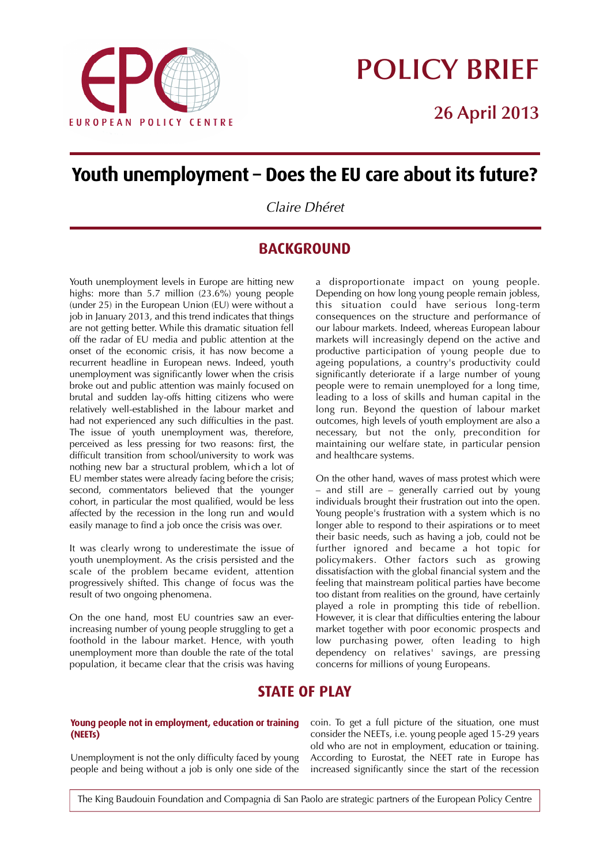

# **POLICY BRIEF**

**26 April 2013**

# **Youth** unemployment – Does the EU care about its future?

*Claire Dhéret*

## **BACKGROUND**

Youth unemployment levels in Europe are hitting new highs: more than 5.7 million (23.6%) young people (under 25) in the European Union (EU) were without a job in January 2013, and this trend indicates that things are not getting better. While this dramatic situation fell off the radar of EU media and public attention at the onset of the economic crisis, it has now become a recurrent headline in European news. Indeed, youth unemployment was significantly lower when the crisis broke out and public attention was mainly focused on brutal and sudden lay-offs hitting citizens who were relatively well-established in the labour market and had not experienced any such difficulties in the past. The issue of youth unemployment was, therefore, perceived as less pressing for two reasons: first, the difficult transition from school/university to work was nothing new bar a structural problem, which a lot of EU member states were already facing before the crisis; second, commentators believed that the younger cohort, in particular the most qualified, would be less affected by the recession in the long run and would easily manage to find a job once the crisis was over.

It was clearly wrong to underestimate the issue of youth unemployment. As the crisis persisted and the scale of the problem became evident, attention progressively shifted. This change of focus was the result of two ongoing phenomena.

On the one hand, most EU countries saw an everincreasing number of young people struggling to get a foothold in the labour market. Hence, with youth unemployment more than double the rate of the total population, it became clear that the crisis was having a disproportionate impact on young people. Depending on how long young people remain jobless, this situation could have serious long-term consequences on the structure and performance of our labour markets. Indeed, whereas European labour markets will increasingly depend on the active and productive participation of young people due to ageing populations, a country's productivity could significantly deteriorate if a large number of young people were to remain unemployed for a long time, leading to a loss of skills and human capital in the long run. Beyond the question of labour market outcomes, high levels of youth employment are also a necessary, but not the only, precondition for maintaining our welfare state, in particular pension and healthcare systems.

On the other hand, waves of mass protest which were – and still are – generally carried out by young individuals brought their frustration out into the open. Young people's frustration with a system which is no longer able to respond to their aspirations or to meet their basic needs, such as having a job, could not be further ignored and became a hot topic for policymakers. Other factors such as growing dissatisfaction with the global financial system and the feeling that mainstream political parties have become too distant from realities on the ground, have certainly played a role in prompting this tide of rebellion. However, it is clear that difficulties entering the labour market together with poor economic prospects and low purchasing power, often leading to high dependency on relatives' savings, are pressing concerns for millions of young Europeans.

# **STATE OF PLAY**

#### **Young** people not in employment, education or training **( N E ETs )**

Unemployment is not the only difficulty faced by young people and being without a job is only one side of the coin. To get a full picture of the situation, one must consider the NEETs, i.e. young people aged 15-29 years old who are not in employment, education or training. According to Eurostat, the NEET rate in Europe has increased significantly since the start of the recession

The King Baudouin Foundation and Compagnia di San Paolo are strategic partners of the European Policy Centre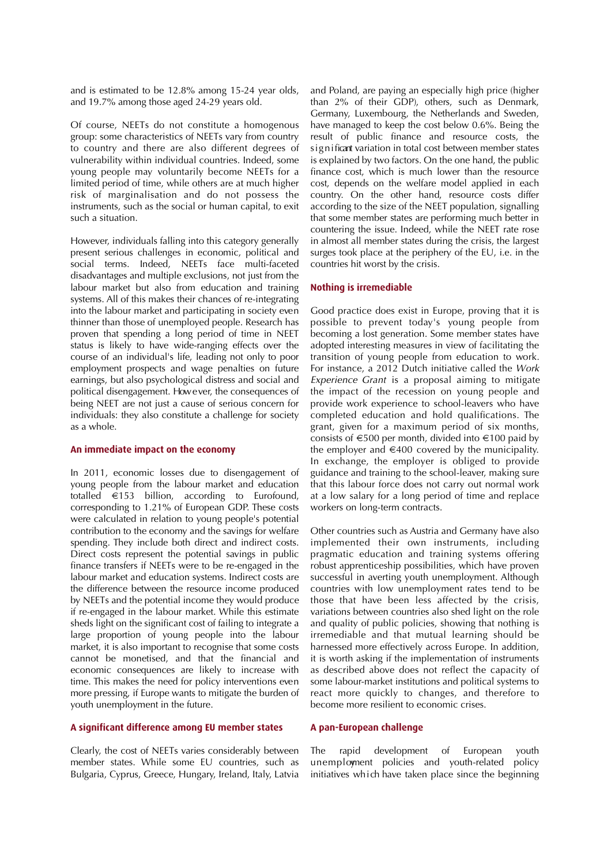and is estimated to be 12.8% among 15-24 year olds, and 19.7% among those aged 24-29 years old.

Of course, NEETs do not constitute a homogenous group: some characteristics of NEETs vary from country to country and there are also different degrees of vulnerability within individual countries. Indeed, some young people may voluntarily become NEETs for a limited period of time, while others are at much higher risk of marginalisation and do not possess the instruments, such as the social or human capital, to exit such a situation.

However, individuals falling into this category generally present serious challenges in economic, political and social terms. Indeed, NEETs face multi-faceted disadvantages and multiple exclusions, not just from the labour market but also from education and training systems. All of this makes their chances of re-integrating into the labour market and participating in society even thinner than those of unemployed people. Research has proven that spending a long period of time in NEET status is likely to have wide-ranging effects over the course of an individual's life, leading not only to poor employment prospects and wage penalties on future earnings, but also psychological distress and social and political disengagement. However, the consequences of being NEET are not just a cause of serious concern for individuals: they also constitute a challenge for society as a whole.

#### **An immediate impact on the economy**

In 2011, economic losses due to disengagement of young people from the labour market and education totalled €153 billion, according to Eurofound, corresponding to 1.21% of European GDP. These costs were calculated in relation to young people's potential contribution to the economy and the savings for welfare spending. They include both direct and indirect costs. Direct costs represent the potential savings in public finance transfers if NEETs were to be re-engaged in the labour market and education systems. Indirect costs are the difference between the resource income produced by NEETs and the potential income they would produce if re-engaged in the labour market. While this estimate sheds light on the significant cost of failing to integrate a large proportion of young people into the labour market, it is also important to recognise that some costs cannot be monetised, and that the financial and economic consequences are likely to increase with time. This makes the need for policy interventions even more pressing, if Europe wants to mitigate the burden of youth unemployment in the future.

#### **A significant difference among EU member states**

Clearly, the cost of NEETs varies considerably between member states. While some EU countries, such as Bulgaria, Cyprus, Greece, Hungary, Ireland, Italy, Latvia and Poland, are paying an especially high price (higher than 2% of their GDP), others, such as Denmark, Germany, Luxembourg, the Netherlands and Sweden, have managed to keep the cost below 0.6%. Being the result of public finance and resource costs, the significant variation in total cost between member states is explained by two factors. On the one hand, the public finance cost, which is much lower than the resource cost, depends on the welfare model applied in each country. On the other hand, resource costs differ according to the size of the NEET population, signalling that some member states are performing much better in countering the issue. Indeed, while the NEET rate rose in almost all member states during the crisis, the largest surges took place at the periphery of the EU, i.e. in the countries hit worst by the crisis.

#### **Nothing is irremediable**

Good practice does exist in Europe, proving that it is possible to prevent today's young people from becoming a lost generation. Some member states have adopted interesting measures in view of facilitating the transition of young people from education to work. For instance, a 2012 Dutch initiative called the *Work Experience Grant* is a proposal aiming to mitigate the impact of the recession on young people and provide work experience to school-leavers who have completed education and hold qualifications. The grant, given for a maximum period of six months, consists of  $\epsilon$ 500 per month, divided into  $\epsilon$ 100 paid by the employer and  $\in$ 400 covered by the municipality. In exchange, the employer is obliged to provide guidance and training to the school-leaver, making sure that this labour force does not carry out normal work at a low salary for a long period of time and replace workers on long-term contracts.

Other countries such as Austria and Germany have also implemented their own instruments, including pragmatic education and training systems offering robust apprenticeship possibilities, which have proven successful in averting youth unemployment. Although countries with low unemployment rates tend to be those that have been less affected by the crisis, variations between countries also shed light on the role and quality of public policies, showing that nothing is irremediable and that mutual learning should be harnessed more effectively across Europe. In addition, it is worth asking if the implementation of instruments as described above does not reflect the capacity of some labour-market institutions and political systems to react more quickly to changes, and therefore to become more resilient to economic crises.

#### **A pan-European challenge**

The rapid development of European youth un employment policies and youth-related policy initiatives which have taken place since the beginning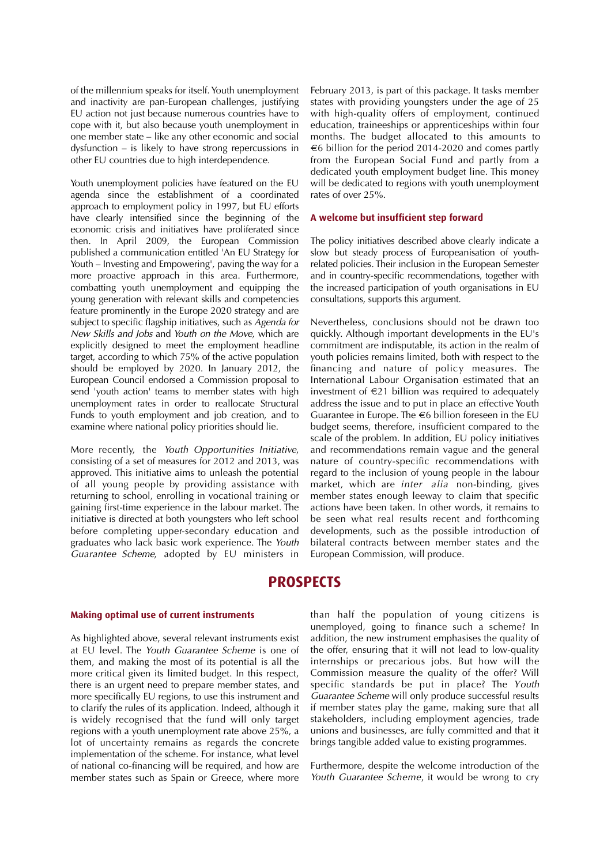of the millennium speaks for itself. Youth unemployment and inactivity are pan-European challenges, justifying EU action not just because numerous countries have to cope with it, but also because youth unemployment in one member state – like any other economic and social dysfunction – is likely to have strong repercussions in other EU countries due to high interdependence.

Youth unemployment policies have featured on the EU agenda since the establishment of a coordinated approach to employment policy in 1997, but EU efforts have clearly intensified since the beginning of the economic crisis and initiatives have proliferated since then. In April 2009, the European Commission published a communication entitled 'An EU Strategy for Youth – Investing and Empowering', paving the way for a more proactive approach in this area. Furthermore, combatting youth unemployment and equipping the young generation with relevant skills and competencies feature prominently in the Europe 2020 strategy and are subject to specific flagship initiatives, such as *Agenda for New Skills and Jobs and Youth on the Move, which are* explicitly designed to meet the employment headline target, according to which 75% of the active population should be employed by 2020. In January 2012, the European Council endorsed a Commission proposal to send 'youth action' teams to member states with high unemployment rates in order to reallocate Structural Funds to youth employment and job creation, and to examine where national policy priorities should lie.

More recently, the *Youth Opportunities Initiative*, consisting of a set of measures for 2012 and 2013, was approved. This initiative aims to unleash the potential of all young people by providing assistance with returning to school, enrolling in vocational training or gaining first-time experience in the labour market. The initiative is directed at both youngsters who left school before completing upper-secondary education and graduates who lack basic work experience. The *Youth Guarantee Scheme*, adopted by EU ministers in

February 2013, is part of this package. It tasks member states with providing youngsters under the age of 25 with high-quality offers of employment, continued education, traineeships or apprenticeships within four months. The budget allocated to this amounts to €6 billion for the period 2014-2020 and comes partly from the European Social Fund and partly from a dedicated youth employment budget line. This money will be dedicated to regions with youth unemployment rates of over 25%.

#### **A welcome but insufficient step forward**

The policy initiatives described above clearly indicate a slow but steady process of Europeanisation of youthrelated policies. Their inclusion in the European Semester and in country-specific recommendations, together with the increased participation of youth organisations in EU consultations, supports this argument.

Nevertheless, conclusions should not be drawn too quickly. Although important developments in the EU's commitment are indisputable, its action in the realm of youth policies remains limited, both with respect to the financing and nature of policy measures. The International Labour Organisation estimated that an investment of  $\epsilon$ 21 billion was required to adequately address the issue and to put in place an effective Youth Guarantee in Europe. The  $\epsilon$ 6 billion foreseen in the EU budget seems, therefore, insufficient compared to the scale of the problem. In addition, EU policy initiatives and recommendations remain vague and the general nature of country-specific recommendations with regard to the inclusion of young people in the labour market, which are *inter alia* non-binding, gives member states enough leeway to claim that specific actions have been taken. In other words, it remains to be seen what real results recent and forthcoming developments, such as the possible introduction of bilateral contracts between member states and the European Commission, will produce.

### **PROSPECTS**

#### **Making optimal use of current instruments**

As highlighted above, several relevant instruments exist at EU level. The *Youth Guarantee Scheme* is one of them, and making the most of its potential is all the more critical given its limited budget. In this respect, there is an urgent need to prepare member states, and more specifically EU regions, to use this instrument and to clarify the rules of its application. Indeed, although it is widely recognised that the fund will only target regions with a youth unemployment rate above 25%, a lot of uncertainty remains as regards the concrete implementation of the scheme. For instance, what level of national co-financing will be required, and how are member states such as Spain or Greece, where more

than half the population of young citizens is unemployed, going to finance such a scheme? In addition, the new instrument emphasises the quality of the offer, ensuring that it will not lead to low-quality internships or precarious jobs. But how will the Commission measure the quality of the offer? Will specific standards be put in place? The *Youth Guarantee Scheme* will only produce successful results if member states play the game, making sure that all stakeholders, including employment agencies, trade unions and businesses, are fully committed and that it brings tangible added value to existing programmes.

Furthermore, despite the welcome introduction of the *Youth Guarantee Scheme*, it would be wrong to cry